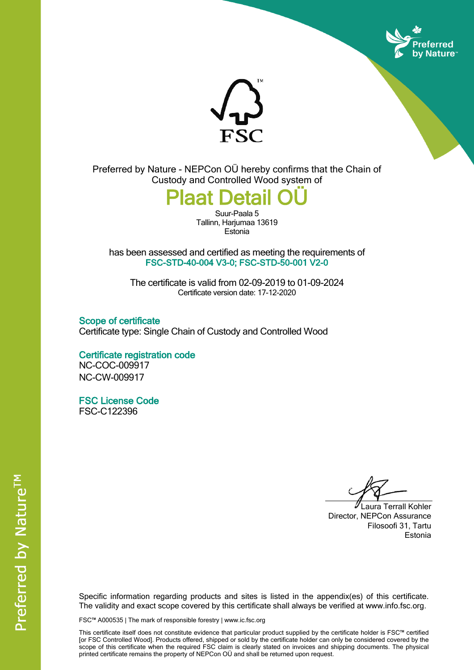



Preferred by Nature - NEPCon OÜ hereby confirms that the Chain of Custody and Controlled Wood system of

**Plaat Det** 

Suur-Paala 5 Tallinn, Harjumaa 13619 **Estonia** 

has been assessed and certified as meeting the requirements of **FSC-STD-40-004 V3-0; FSC-STD-50-001 V2-0**

The certificate is valid from 02-09-2019 to 01-09-2024 Certificate version date: 17-12-2020

**Scope of certificate** Certificate type: Single Chain of Custody and Controlled Wood

**Certificate registration code** NC-COC-009917 NC-CW-009917

**FSC License Code** FSC-C122396

Laura Terrall Kohler Director, NEPCon Assurance Filosoofi 31, Tartu Estonia

Specific information regarding products and sites is listed in the appendix(es) of this certificate. The validity and exact scope covered by this certificate shall always be verified at www.info.fsc.org.

FSC™ A000535 | The mark of responsible forestry | www.ic.fsc.org

This certificate itself does not constitute evidence that particular product supplied by the certificate holder is FSC™ certified [or FSC Controlled Wood]. Products offered, shipped or sold by the certificate holder can only be considered covered by the scope of this certificate when the required FSC claim is clearly stated on invoices and shipping documents. The physical printed certificate remains the property of NEPCon OÜ and shall be returned upon request.